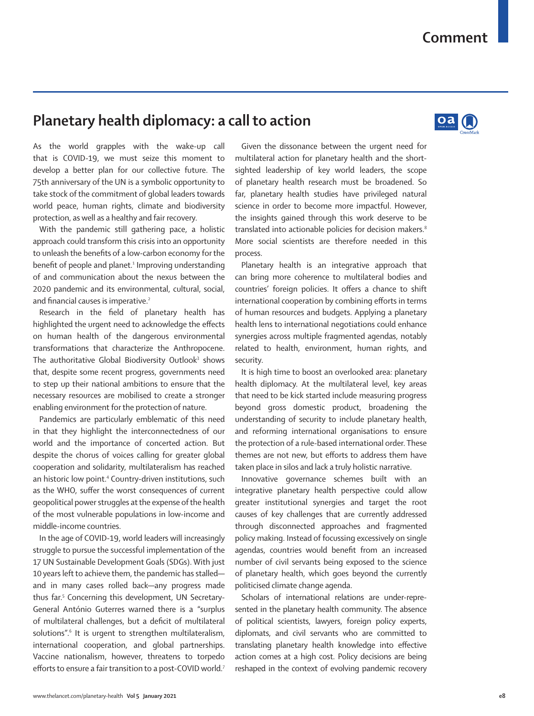## **Planetary health diplomacy: a call to action**



As the world grapples with the wake-up call that is COVID-19, we must seize this moment to develop a better plan for our collective future. The 75th anniversary of the UN is a symbolic opportunity to take stock of the commitment of global leaders towards world peace, human rights, climate and biodiversity protection, as well as a healthy and fair recovery.

With the pandemic still gathering pace, a holistic approach could transform this crisis into an opportunity to unleash the benefits of a low-carbon economy for the benefit of people and planet.<sup>1</sup> Improving understanding of and communication about the nexus between the 2020 pandemic and its environmental, cultural, social, and financial causes is imperative.<sup>2</sup>

Research in the field of planetary health has highlighted the urgent need to acknowledge the effects on human health of the dangerous environmental transformations that characterize the Anthropocene. The authoritative Global Biodiversity Outlook<sup>3</sup> shows that, despite some recent progress, governments need to step up their national ambitions to ensure that the necessary resources are mobilised to create a stronger enabling environment for the protection of nature.

Pandemics are particularly emblematic of this need in that they highlight the interconnectedness of our world and the importance of concerted action. But despite the chorus of voices calling for greater global cooperation and solidarity, multilateralism has reached an historic low point.<sup>4</sup> Country-driven institutions, such as the WHO, suffer the worst consequences of current geopolitical power struggles at the expense of the health of the most vulnerable populations in low-income and middle-income countries.

In the age of COVID-19, world leaders will increasingly struggle to pursue the successful implementation of the 17 UN Sustainable Development Goals (SDGs). With just 10 years left to achieve them, the pandemic has stalled and in many cases rolled back—any progress made thus far.5 Concerning this development, UN Secretary-General António Guterres warned there is a "surplus of multilateral challenges, but a deficit of multilateral solutions".6 It is urgent to strengthen multilateralism, international cooperation, and global partnerships. Vaccine nationalism, however, threatens to torpedo efforts to ensure a fair transition to a post-COVID world.7

Given the dissonance between the urgent need for multilateral action for planetary health and the shortsighted leadership of key world leaders, the scope of planetary health research must be broadened. So far, planetary health studies have privileged natural science in order to become more impactful. However, the insights gained through this work deserve to be translated into actionable policies for decision makers.<sup>8</sup> More social scientists are therefore needed in this process.

Planetary health is an integrative approach that can bring more coherence to multilateral bodies and countries' foreign policies. It offers a chance to shift international cooperation by combining efforts in terms of human resources and budgets. Applying a planetary health lens to international negotiations could enhance synergies across multiple fragmented agendas, notably related to health, environment, human rights, and security.

It is high time to boost an overlooked area: planetary health diplomacy. At the multilateral level, key areas that need to be kick started include measuring progress beyond gross domestic product, broadening the understanding of security to include planetary health, and reforming international organisations to ensure the protection of a rule-based international order. These themes are not new, but efforts to address them have taken place in silos and lack a truly holistic narrative.

Innovative governance schemes built with an integrative planetary health perspective could allow greater institutional synergies and target the root causes of key challenges that are currently addressed through disconnected approaches and fragmented policy making. Instead of focussing excessively on single agendas, countries would benefit from an increased number of civil servants being exposed to the science of planetary health, which goes beyond the currently politicised climate change agenda.

Scholars of international relations are under-represented in the planetary health community. The absence of political scientists, lawyers, foreign policy experts, diplomats, and civil servants who are committed to translating planetary health knowledge into effective action comes at a high cost. Policy decisions are being reshaped in the context of evolving pandemic recovery